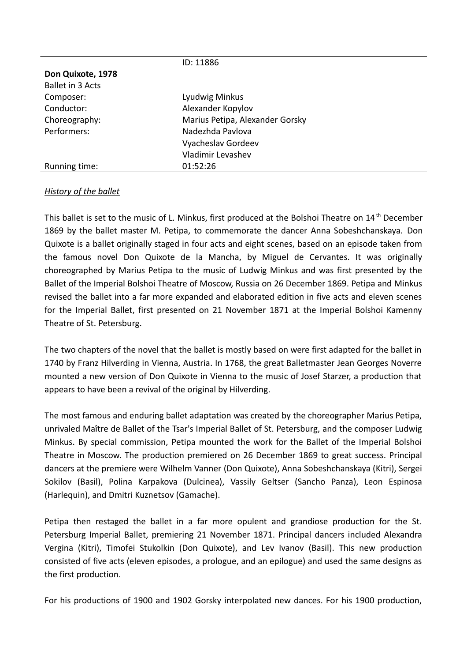|                         | ID: 11886                       |
|-------------------------|---------------------------------|
| Don Quixote, 1978       |                                 |
| <b>Ballet in 3 Acts</b> |                                 |
| Composer:               | Lyudwig Minkus                  |
| Conductor:              | Alexander Kopylov               |
| Choreography:           | Marius Petipa, Alexander Gorsky |
| Performers:             | Nadezhda Pavlova                |
|                         | Vyacheslav Gordeev              |
|                         | <b>Vladimir Levashev</b>        |
| Running time:           | 01:52:26                        |

# *History of the ballet*

This ballet is set to the music of L. Minkus, first produced at the Bolshoi Theatre on 14<sup>th</sup> December 1869 by the ballet master M. Petipa, to commemorate the dancer Anna Sobeshchanskaya. Don Quixote is a ballet originally staged in four acts and eight scenes, based on an episode taken from the famous novel Don Quixote de la Mancha, by Miguel de Cervantes. It was originally choreographed by Marius Petipa to the music of Ludwig Minkus and was first presented by the Ballet of the Imperial Bolshoi Theatre of Moscow, Russia on 26 December 1869. Petipa and Minkus revised the ballet into a far more expanded and elaborated edition in five acts and eleven scenes for the Imperial Ballet, first presented on 21 November 1871 at the Imperial Bolshoi Kamenny Theatre of St. Petersburg.

The two chapters of the novel that the ballet is mostly based on were first adapted for the ballet in 1740 by Franz Hilverding in Vienna, Austria. In 1768, the great Balletmaster Jean Georges Noverre mounted a new version of Don Quixote in Vienna to the music of Josef Starzer, a production that appears to have been a revival of the original by Hilverding.

The most famous and enduring ballet adaptation was created by the choreographer Marius Petipa, unrivaled Maître de Ballet of the Tsar's Imperial Ballet of St. Petersburg, and the composer Ludwig Minkus. By special commission, Petipa mounted the work for the Ballet of the Imperial Bolshoi Theatre in Moscow. The production premiered on 26 December 1869 to great success. Principal dancers at the premiere were Wilhelm Vanner (Don Quixote), Anna Sobeshchanskaya (Kitri), Sergei Sokilov (Basil), Polina Karpakova (Dulcinea), Vassily Geltser (Sancho Panza), Leon Espinosa (Harlequin), and Dmitri Kuznetsov (Gamache).

Petipa then restaged the ballet in a far more opulent and grandiose production for the St. Petersburg Imperial Ballet, premiering 21 November 1871. Principal dancers included Alexandra Vergina (Kitri), Timofei Stukolkin (Don Quixote), and Lev Ivanov (Basil). This new production consisted of five acts (eleven episodes, a prologue, and an epilogue) and used the same designs as the first production.

For his productions of 1900 and 1902 Gorsky interpolated new dances. For his 1900 production,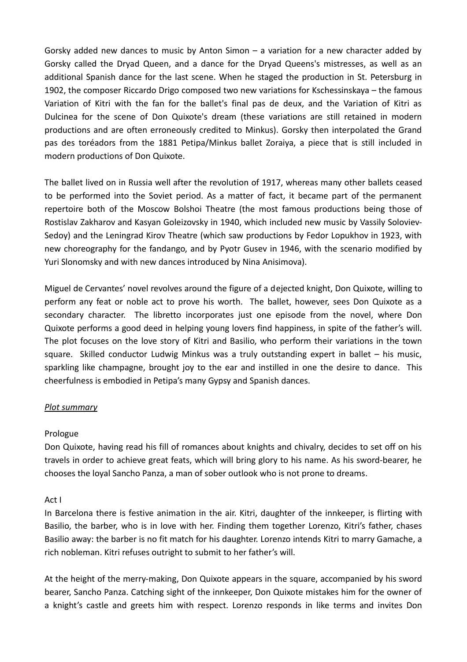Gorsky added new dances to music by Anton Simon – a variation for a new character added by Gorsky called the Dryad Queen, and a dance for the Dryad Queens's mistresses, as well as an additional Spanish dance for the last scene. When he staged the production in St. Petersburg in 1902, the composer Riccardo Drigo composed two new variations for Kschessinskaya – the famous Variation of Kitri with the fan for the ballet's final pas de deux, and the Variation of Kitri as Dulcinea for the scene of Don Quixote's dream (these variations are still retained in modern productions and are often erroneously credited to Minkus). Gorsky then interpolated the Grand pas des toréadors from the 1881 Petipa/Minkus ballet Zoraiya, a piece that is still included in modern productions of Don Quixote.

The ballet lived on in Russia well after the revolution of 1917, whereas many other ballets ceased to be performed into the Soviet period. As a matter of fact, it became part of the permanent repertoire both of the Moscow Bolshoi Theatre (the most famous productions being those of Rostislav Zakharov and Kasyan Goleizovsky in 1940, which included new music by Vassily Soloviev-Sedoy) and the Leningrad Kirov Theatre (which saw productions by Fedor Lopukhov in 1923, with new choreography for the fandango, and by Pyotr Gusev in 1946, with the scenario modified by Yuri Slonomsky and with new dances introduced by Nina Anisimova).

Miguel de Cervantes' novel revolves around the figure of a dejected knight, Don Quixote, willing to perform any feat or noble act to prove his worth. The ballet, however, sees Don Quixote as a secondary character. The libretto incorporates just one episode from the novel, where Don Quixote performs a good deed in helping young lovers find happiness, in spite of the father's will. The plot focuses on the love story of Kitri and Basilio, who perform their variations in the town square. Skilled conductor Ludwig Minkus was a truly outstanding expert in ballet – his music, sparkling like champagne, brought joy to the ear and instilled in one the desire to dance. This cheerfulness is embodied in Petipa's many Gypsy and Spanish dances.

# *Plot summary*

# Prologue

Don Quixote, having read his fill of romances about knights and chivalry, decides to set off on his travels in order to achieve great feats, which will bring glory to his name. As his sword-bearer, he chooses the loyal Sancho Panza, a man of sober outlook who is not prone to dreams.

### Act I

In Barcelona there is festive animation in the air. Kitri, daughter of the innkeeper, is flirting with Basilio, the barber, who is in love with her. Finding them together Lorenzo, Kitri's father, chases Basilio away: the barber is no fit match for his daughter. Lorenzo intends Kitri to marry Gamache, a rich nobleman. Kitri refuses outright to submit to her father's will.

At the height of the merry-making, Don Quixote appears in the square, accompanied by his sword bearer, Sancho Panza. Catching sight of the innkeeper, Don Quixote mistakes him for the owner of a knight's castle and greets him with respect. Lorenzo responds in like terms and invites Don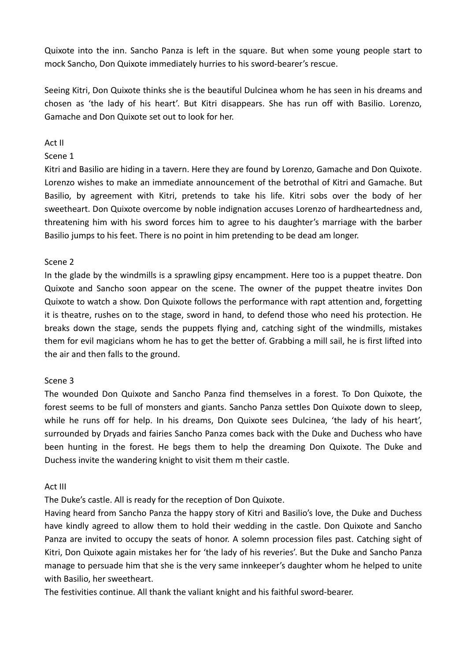Quixote into the inn. Sancho Panza is left in the square. But when some young people start to mock Sancho, Don Quixote immediately hurries to his sword-bearer's rescue.

Seeing Kitri, Don Quixote thinks she is the beautiful Dulcinea whom he has seen in his dreams and chosen as 'the lady of his heart'. But Kitri disappears. She has run off with Basilio. Lorenzo, Gamache and Don Quixote set out to look for her.

## Act II

### Scene 1

Kitri and Basilio are hiding in a tavern. Here they are found by Lorenzo, Gamache and Don Quixote. Lorenzo wishes to make an immediate announcement of the betrothal of Kitri and Gamache. But Basilio, by agreement with Kitri, pretends to take his life. Kitri sobs over the body of her sweetheart. Don Quixote overcоme by noble indignation accuses Lorenzo of hardheartedness and, threatening him with his sword forces him to agree to his daughter's marriage with the barber Basilio jumps to his feet. There is no point in him pretending to be dead am longer.

## Scene 2

In the glade by the windmills is a sprawling gipsy encampment. Here too is a puppet theatre. Don Quixote and Sancho soon appear on the scene. The owner of the puppet theatre invites Don Quixote to watch a show. Don Quixote follows the performance with rapt attention and, forgetting it is theatre, rushes on to the stage, sword in hand, to defend those who need his protection. He breaks down the stage, sends the puppets flying and, catching sight of the windmills, mistakes them for evil magicians whom he has to get the better of. Grabbing a mill sail, he is first lifted into the air and then falls to the ground.

### Scene 3

The wounded Don Quixote and Sancho Panza find themselves in a forest. To Don Quixote, the forest seems to be full of monsters and giants. Sancho Panza settles Don Quixote down to sleep, while he runs off for help. In his dreams, Don Quixote sees Dulcinea, 'the lady of his heart', surrounded by Dryads and fairies Sancho Panza comes back with the Duke and Duchess who have been hunting in the forest. He begs them to help the dreaming Don Quixote. The Duke and Duchess invite the wandering knight to visit them m their castle.

### Act III

The Duke's castle. All is ready for the reception of Don Quixote.

Having heard from Sancho Panza the happy story of Kitri and Basilio's love, the Duke and Duchess have kindly agreed to allow them to hold their wedding in the castle. Don Quixote and Sancho Panza are invited to occupy the seats of honor. A solemn procession files past. Catching sight of Kitri, Don Quixote again mistakes her for 'the lady of his reveries'. But the Duke and Sancho Panza manage to persuade him that she is the very same innkeeper's daughter whom he helped to unite with Basilio, her sweetheart.

The festivities continue. All thank the valiant knight and his faithful sword-bearer.